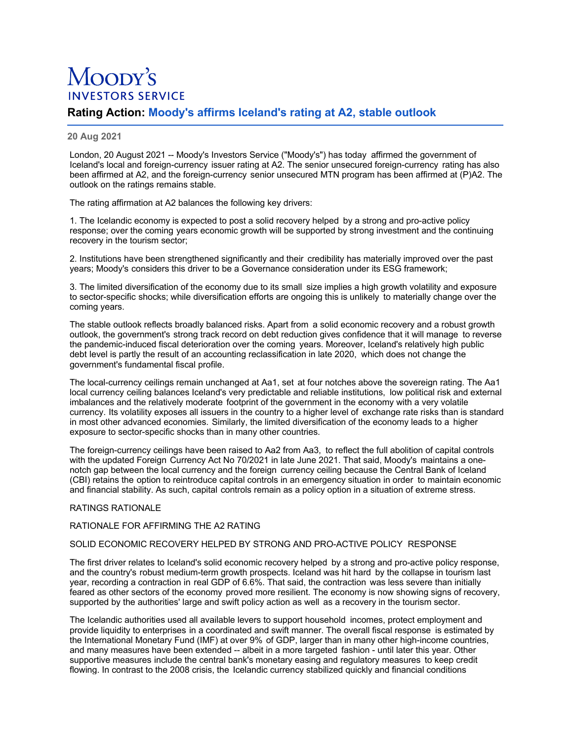# Moopy's **INVESTORS SERVICE**

# **Rating Action: Moody's affirms Iceland's rating at A2, stable outlook**

### **20 Aug 2021**

London, 20 August 2021 -- Moody's Investors Service ("Moody's") has today affirmed the government of Iceland's local and foreign-currency issuer rating at A2. The senior unsecured foreign-currency rating has also been affirmed at A2, and the foreign-currency senior unsecured MTN program has been affirmed at (P)A2. The outlook on the ratings remains stable.

The rating affirmation at A2 balances the following key drivers:

1. The Icelandic economy is expected to post a solid recovery helped by a strong and pro-active policy response; over the coming years economic growth will be supported by strong investment and the continuing recovery in the tourism sector;

2. Institutions have been strengthened significantly and their credibility has materially improved over the past years; Moody's considers this driver to be a Governance consideration under its ESG framework;

3. The limited diversification of the economy due to its small size implies a high growth volatility and exposure to sector-specific shocks; while diversification efforts are ongoing this is unlikely to materially change over the coming years.

The stable outlook reflects broadly balanced risks. Apart from a solid economic recovery and a robust growth outlook, the government's strong track record on debt reduction gives confidence that it will manage to reverse the pandemic-induced fiscal deterioration over the coming years. Moreover, Iceland's relatively high public debt level is partly the result of an accounting reclassification in late 2020, which does not change the government's fundamental fiscal profile.

The local-currency ceilings remain unchanged at Aa1, set at four notches above the sovereign rating. The Aa1 local currency ceiling balances Iceland's very predictable and reliable institutions, low political risk and external imbalances and the relatively moderate footprint of the government in the economy with a very volatile currency. Its volatility exposes all issuers in the country to a higher level of exchange rate risks than is standard in most other advanced economies. Similarly, the limited diversification of the economy leads to a higher exposure to sector-specific shocks than in many other countries.

The foreign-currency ceilings have been raised to Aa2 from Aa3, to reflect the full abolition of capital controls with the updated Foreign Currency Act No 70/2021 in late June 2021. That said, Moody's maintains a onenotch gap between the local currency and the foreign currency ceiling because the Central Bank of Iceland (CBI) retains the option to reintroduce capital controls in an emergency situation in order to maintain economic and financial stability. As such, capital controls remain as a policy option in a situation of extreme stress.

# RATINGS RATIONALE

# RATIONALE FOR AFFIRMING THE A2 RATING

# SOLID ECONOMIC RECOVERY HELPED BY STRONG AND PRO-ACTIVE POLICY RESPONSE

The first driver relates to Iceland's solid economic recovery helped by a strong and pro-active policy response, and the country's robust medium-term growth prospects. Iceland was hit hard by the collapse in tourism last year, recording a contraction in real GDP of 6.6%. That said, the contraction was less severe than initially feared as other sectors of the economy proved more resilient. The economy is now showing signs of recovery, supported by the authorities' large and swift policy action as well as a recovery in the tourism sector.

The Icelandic authorities used all available levers to support household incomes, protect employment and provide liquidity to enterprises in a coordinated and swift manner. The overall fiscal response is estimated by the International Monetary Fund (IMF) at over 9% of GDP, larger than in many other high-income countries, and many measures have been extended -- albeit in a more targeted fashion - until later this year. Other supportive measures include the central bank's monetary easing and regulatory measures to keep credit flowing. In contrast to the 2008 crisis, the Icelandic currency stabilized quickly and financial conditions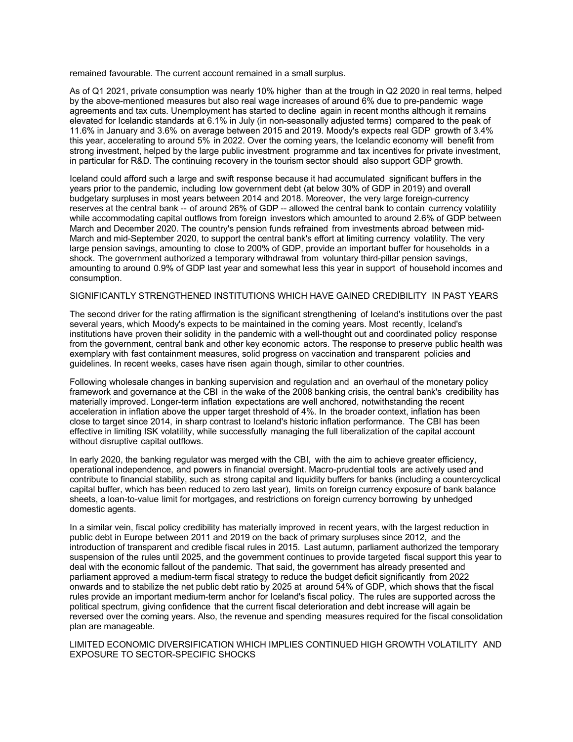remained favourable. The current account remained in a small surplus.

As of Q1 2021, private consumption was nearly 10% higher than at the trough in Q2 2020 in real terms, helped by the above-mentioned measures but also real wage increases of around 6% due to pre-pandemic wage agreements and tax cuts. Unemployment has started to decline again in recent months although it remains elevated for Icelandic standards at 6.1% in July (in non-seasonally adjusted terms) compared to the peak of 11.6% in January and 3.6% on average between 2015 and 2019. Moody's expects real GDP growth of 3.4% this year, accelerating to around 5% in 2022. Over the coming years, the Icelandic economy will benefit from strong investment, helped by the large public investment programme and tax incentives for private investment, in particular for R&D. The continuing recovery in the tourism sector should also support GDP growth.

Iceland could afford such a large and swift response because it had accumulated significant buffers in the years prior to the pandemic, including low government debt (at below 30% of GDP in 2019) and overall budgetary surpluses in most years between 2014 and 2018. Moreover, the very large foreign-currency reserves at the central bank -- of around 26% of GDP -- allowed the central bank to contain currency volatility while accommodating capital outflows from foreign investors which amounted to around 2.6% of GDP between March and December 2020. The country's pension funds refrained from investments abroad between mid-March and mid-September 2020, to support the central bank's effort at limiting currency volatility. The very large pension savings, amounting to close to 200% of GDP, provide an important buffer for households in a shock. The government authorized a temporary withdrawal from voluntary third-pillar pension savings, amounting to around 0.9% of GDP last year and somewhat less this year in support of household incomes and consumption.

#### SIGNIFICANTLY STRENGTHENED INSTITUTIONS WHICH HAVE GAINED CREDIBILITY IN PAST YEARS

The second driver for the rating affirmation is the significant strengthening of Iceland's institutions over the past several years, which Moody's expects to be maintained in the coming years. Most recently, Iceland's institutions have proven their solidity in the pandemic with a well-thought out and coordinated policy response from the government, central bank and other key economic actors. The response to preserve public health was exemplary with fast containment measures, solid progress on vaccination and transparent policies and guidelines. In recent weeks, cases have risen again though, similar to other countries.

Following wholesale changes in banking supervision and regulation and an overhaul of the monetary policy framework and governance at the CBI in the wake of the 2008 banking crisis, the central bank's credibility has materially improved. Longer-term inflation expectations are well anchored, notwithstanding the recent acceleration in inflation above the upper target threshold of 4%. In the broader context, inflation has been close to target since 2014, in sharp contrast to Iceland's historic inflation performance. The CBI has been effective in limiting ISK volatility, while successfully managing the full liberalization of the capital account without disruptive capital outflows.

In early 2020, the banking regulator was merged with the CBI, with the aim to achieve greater efficiency, operational independence, and powers in financial oversight. Macro-prudential tools are actively used and contribute to financial stability, such as strong capital and liquidity buffers for banks (including a countercyclical capital buffer, which has been reduced to zero last year), limits on foreign currency exposure of bank balance sheets, a loan-to-value limit for mortgages, and restrictions on foreign currency borrowing by unhedged domestic agents.

In a similar vein, fiscal policy credibility has materially improved in recent years, with the largest reduction in public debt in Europe between 2011 and 2019 on the back of primary surpluses since 2012, and the introduction of transparent and credible fiscal rules in 2015. Last autumn, parliament authorized the temporary suspension of the rules until 2025, and the government continues to provide targeted fiscal support this year to deal with the economic fallout of the pandemic. That said, the government has already presented and parliament approved a medium-term fiscal strategy to reduce the budget deficit significantly from 2022 onwards and to stabilize the net public debt ratio by 2025 at around 54% of GDP, which shows that the fiscal rules provide an important medium-term anchor for Iceland's fiscal policy. The rules are supported across the political spectrum, giving confidence that the current fiscal deterioration and debt increase will again be reversed over the coming years. Also, the revenue and spending measures required for the fiscal consolidation plan are manageable.

LIMITED ECONOMIC DIVERSIFICATION WHICH IMPLIES CONTINUED HIGH GROWTH VOLATILITY AND EXPOSURE TO SECTOR-SPECIFIC SHOCKS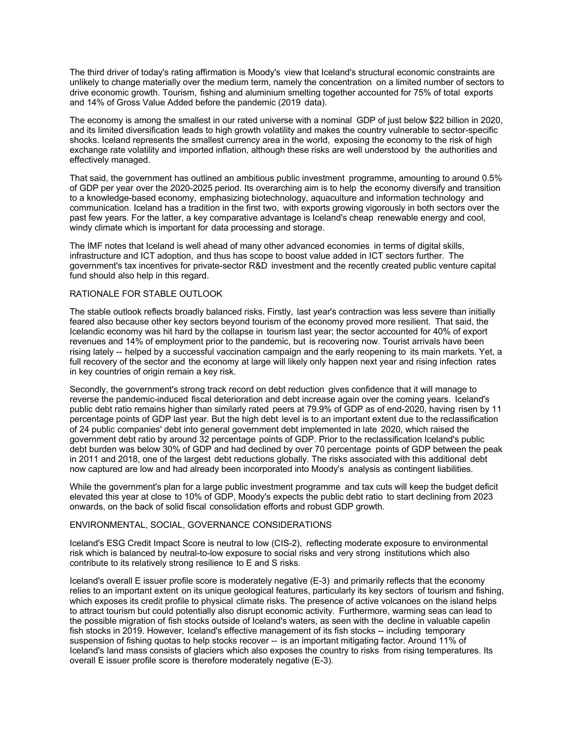The third driver of today's rating affirmation is Moody's view that Iceland's structural economic constraints are unlikely to change materially over the medium term, namely the concentration on a limited number of sectors to drive economic growth. Tourism, fishing and aluminium smelting together accounted for 75% of total exports and 14% of Gross Value Added before the pandemic (2019 data).

The economy is among the smallest in our rated universe with a nominal GDP of just below \$22 billion in 2020, and its limited diversification leads to high growth volatility and makes the country vulnerable to sector-specific shocks. Iceland represents the smallest currency area in the world, exposing the economy to the risk of high exchange rate volatility and imported inflation, although these risks are well understood by the authorities and effectively managed.

That said, the government has outlined an ambitious public investment programme, amounting to around 0.5% of GDP per year over the 2020-2025 period. Its overarching aim is to help the economy diversify and transition to a knowledge-based economy, emphasizing biotechnology, aquaculture and information technology and communication. Iceland has a tradition in the first two, with exports growing vigorously in both sectors over the past few years. For the latter, a key comparative advantage is Iceland's cheap renewable energy and cool, windy climate which is important for data processing and storage.

The IMF notes that Iceland is well ahead of many other advanced economies in terms of digital skills, infrastructure and ICT adoption, and thus has scope to boost value added in ICT sectors further. The government's tax incentives for private-sector R&D investment and the recently created public venture capital fund should also help in this regard.

#### RATIONALE FOR STABLE OUTLOOK

The stable outlook reflects broadly balanced risks. Firstly, last year's contraction was less severe than initially feared also because other key sectors beyond tourism of the economy proved more resilient. That said, the Icelandic economy was hit hard by the collapse in tourism last year; the sector accounted for 40% of export revenues and 14% of employment prior to the pandemic, but is recovering now. Tourist arrivals have been rising lately -- helped by a successful vaccination campaign and the early reopening to its main markets. Yet, a full recovery of the sector and the economy at large will likely only happen next year and rising infection rates in key countries of origin remain a key risk.

Secondly, the government's strong track record on debt reduction gives confidence that it will manage to reverse the pandemic-induced fiscal deterioration and debt increase again over the coming years. Iceland's public debt ratio remains higher than similarly rated peers at 79.9% of GDP as of end-2020, having risen by 11 percentage points of GDP last year. But the high debt level is to an important extent due to the reclassification of 24 public companies' debt into general government debt implemented in late 2020, which raised the government debt ratio by around 32 percentage points of GDP. Prior to the reclassification Iceland's public debt burden was below 30% of GDP and had declined by over 70 percentage points of GDP between the peak in 2011 and 2018, one of the largest debt reductions globally. The risks associated with this additional debt now captured are low and had already been incorporated into Moody's analysis as contingent liabilities.

While the government's plan for a large public investment programme and tax cuts will keep the budget deficit elevated this year at close to 10% of GDP, Moody's expects the public debt ratio to start declining from 2023 onwards, on the back of solid fiscal consolidation efforts and robust GDP growth.

#### ENVIRONMENTAL, SOCIAL, GOVERNANCE CONSIDERATIONS

Iceland's ESG Credit Impact Score is neutral to low (CIS-2), reflecting moderate exposure to environmental risk which is balanced by neutral-to-low exposure to social risks and very strong institutions which also contribute to its relatively strong resilience to E and S risks.

Iceland's overall E issuer profile score is moderately negative (E-3) and primarily reflects that the economy relies to an important extent on its unique geological features, particularly its key sectors of tourism and fishing, which exposes its credit profile to physical climate risks. The presence of active volcanoes on the island helps to attract tourism but could potentially also disrupt economic activity. Furthermore, warming seas can lead to the possible migration of fish stocks outside of Iceland's waters, as seen with the decline in valuable capelin fish stocks in 2019. However, Iceland's effective management of its fish stocks -- including temporary suspension of fishing quotas to help stocks recover -- is an important mitigating factor. Around 11% of Iceland's land mass consists of glaciers which also exposes the country to risks from rising temperatures. Its overall E issuer profile score is therefore moderately negative (E-3).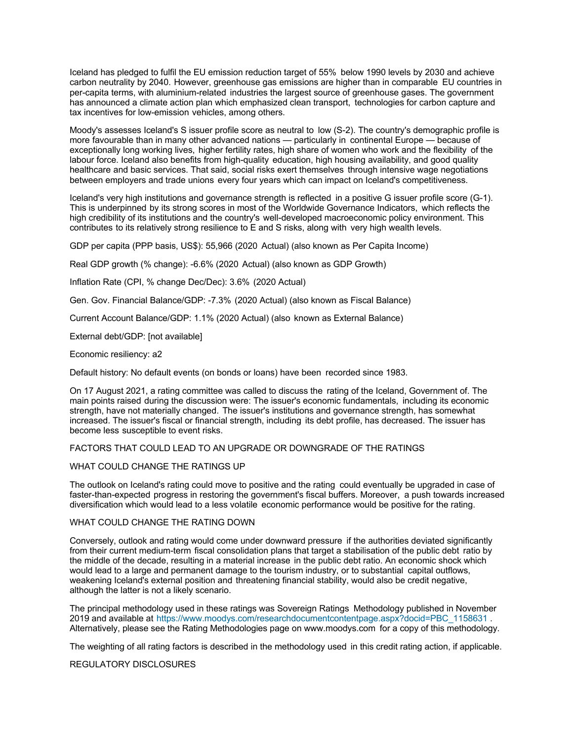Iceland has pledged to fulfil the EU emission reduction target of 55% below 1990 levels by 2030 and achieve carbon neutrality by 2040. However, greenhouse gas emissions are higher than in comparable EU countries in per-capita terms, with aluminium-related industries the largest source of greenhouse gases. The government has announced a climate action plan which emphasized clean transport, technologies for carbon capture and tax incentives for low-emission vehicles, among others.

Moody's assesses Iceland's S issuer profile score as neutral to low (S-2). The country's demographic profile is more favourable than in many other advanced nations — particularly in continental Europe — because of exceptionally long working lives, higher fertility rates, high share of women who work and the flexibility of the labour force. Iceland also benefits from high-quality education, high housing availability, and good quality healthcare and basic services. That said, social risks exert themselves through intensive wage negotiations between employers and trade unions every four years which can impact on Iceland's competitiveness.

Iceland's very high institutions and governance strength is reflected in a positive G issuer profile score (G-1). This is underpinned by its strong scores in most of the Worldwide Governance Indicators, which reflects the high credibility of its institutions and the country's well-developed macroeconomic policy environment. This contributes to its relatively strong resilience to E and S risks, along with very high wealth levels.

GDP per capita (PPP basis, US\$): 55,966 (2020 Actual) (also known as Per Capita Income)

Real GDP growth (% change): -6.6% (2020 Actual) (also known as GDP Growth)

Inflation Rate (CPI, % change Dec/Dec): 3.6% (2020 Actual)

Gen. Gov. Financial Balance/GDP: -7.3% (2020 Actual) (also known as Fiscal Balance)

Current Account Balance/GDP: 1.1% (2020 Actual) (also known as External Balance)

External debt/GDP: [not available]

Economic resiliency: a2

Default history: No default events (on bonds or loans) have been recorded since 1983.

On 17 August 2021, a rating committee was called to discuss the rating of the Iceland, Government of. The main points raised during the discussion were: The issuer's economic fundamentals, including its economic strength, have not materially changed. The issuer's institutions and governance strength, has somewhat increased. The issuer's fiscal or financial strength, including its debt profile, has decreased. The issuer has become less susceptible to event risks.

#### FACTORS THAT COULD LEAD TO AN UPGRADE OR DOWNGRADE OF THE RATINGS

#### WHAT COULD CHANGE THE RATINGS UP

The outlook on Iceland's rating could move to positive and the rating could eventually be upgraded in case of faster-than-expected progress in restoring the government's fiscal buffers. Moreover, a push towards increased diversification which would lead to a less volatile economic performance would be positive for the rating.

#### WHAT COULD CHANGE THE RATING DOWN

Conversely, outlook and rating would come under downward pressure if the authorities deviated significantly from their current medium-term fiscal consolidation plans that target a stabilisation of the public debt ratio by the middle of the decade, resulting in a material increase in the public debt ratio. An economic shock which would lead to a large and permanent damage to the tourism industry, or to substantial capital outflows, weakening Iceland's external position and threatening financial stability, would also be credit negative, although the latter is not a likely scenario.

The principal methodology used in these ratings was Sovereign Ratings Methodology published in November 2019 and available at [https://www.moodys.com/researchdocumentcontentpage.aspx?docid=PBC\\_1158631](https://www.moodys.com/researchdocumentcontentpage.aspx?docid=PBC_1158631) . Alternatively, please see the Rating Methodologies page on www.moodys.com for a copy of this methodology.

The weighting of all rating factors is described in the methodology used in this credit rating action, if applicable.

#### REGULATORY DISCLOSURES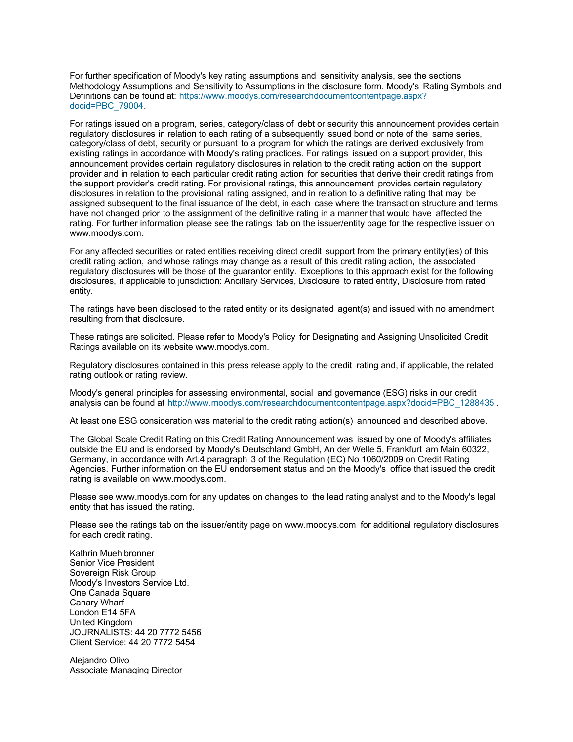For further specification of Moody's key rating assumptions and sensitivity analysis, see the sections Methodology Assumptions and Sensitivity to Assumptions in the disclosure form. Moody's Rating Symbols and [Definitions can be found at: https://www.moodys.com/researchdocumentcontentpage.aspx?](https://www.moodys.com/researchdocumentcontentpage.aspx?docid=PBC_79004) docid=PBC\_79004.

For ratings issued on a program, series, category/class of debt or security this announcement provides certain regulatory disclosures in relation to each rating of a subsequently issued bond or note of the same series, category/class of debt, security or pursuant to a program for which the ratings are derived exclusively from existing ratings in accordance with Moody's rating practices. For ratings issued on a support provider, this announcement provides certain regulatory disclosures in relation to the credit rating action on the support provider and in relation to each particular credit rating action for securities that derive their credit ratings from the support provider's credit rating. For provisional ratings, this announcement provides certain regulatory disclosures in relation to the provisional rating assigned, and in relation to a definitive rating that may be assigned subsequent to the final issuance of the debt, in each case where the transaction structure and terms have not changed prior to the assignment of the definitive rating in a manner that would have affected the rating. For further information please see the ratings tab on the issuer/entity page for the respective issuer on www.moodys.com.

For any affected securities or rated entities receiving direct credit support from the primary entity(ies) of this credit rating action, and whose ratings may change as a result of this credit rating action, the associated regulatory disclosures will be those of the guarantor entity. Exceptions to this approach exist for the following disclosures, if applicable to jurisdiction: Ancillary Services, Disclosure to rated entity, Disclosure from rated entity.

The ratings have been disclosed to the rated entity or its designated agent(s) and issued with no amendment resulting from that disclosure.

These ratings are solicited. Please refer to Moody's Policy for Designating and Assigning Unsolicited Credit Ratings available on its website www.moodys.com.

Regulatory disclosures contained in this press release apply to the credit rating and, if applicable, the related rating outlook or rating review.

Moody's general principles for assessing environmental, social and governance (ESG) risks in our credit analysis can be found at [http://www.moodys.com/researchdocumentcontentpage.aspx?docid=PBC\\_1288435](http://www.moodys.com/researchdocumentcontentpage.aspx?docid=PBC_1288435).

At least one ESG consideration was material to the credit rating action(s) announced and described above.

The Global Scale Credit Rating on this Credit Rating Announcement was issued by one of Moody's affiliates outside the EU and is endorsed by Moody's Deutschland GmbH, An der Welle 5, Frankfurt am Main 60322, Germany, in accordance with Art.4 paragraph 3 of the Regulation (EC) No 1060/2009 on Credit Rating Agencies. Further information on the EU endorsement status and on the Moody's office that issued the credit rating is available on www.moodys.com.

Please see www.moodys.com for any updates on changes to the lead rating analyst and to the Moody's legal entity that has issued the rating.

Please see the ratings tab on the issuer/entity page on www.moodys.com for additional regulatory disclosures for each credit rating.

Kathrin Muehlbronner Senior Vice President Sovereign Risk Group Moody's Investors Service Ltd. One Canada Square Canary Wharf London E14 5FA United Kingdom JOURNALISTS: 44 20 7772 5456 Client Service: 44 20 7772 5454

Alejandro Olivo Associate Managing Director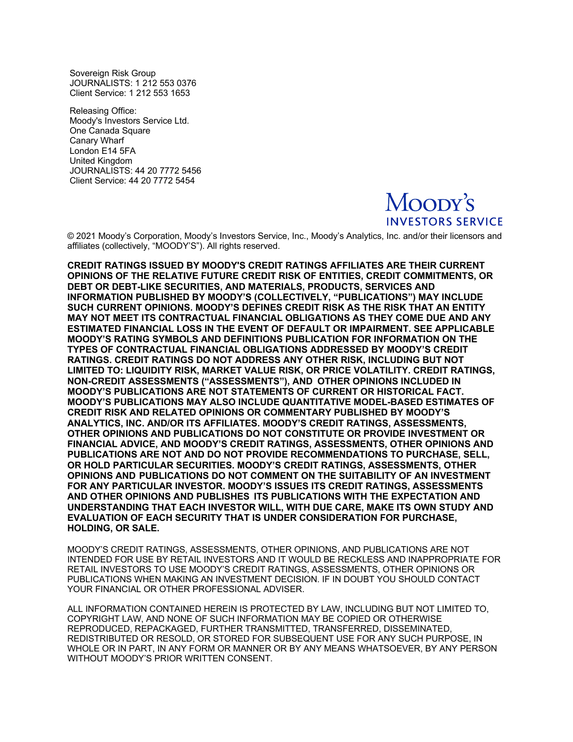Sovereign Risk Group JOURNALISTS: 1 212 553 0376 Client Service: 1 212 553 1653

Releasing Office: Moody's Investors Service Ltd. One Canada Square Canary Wharf London E14 5FA United Kingdom JOURNALISTS: 44 20 7772 5456 Client Service: 44 20 7772 5454

> Moopy's **INVESTORS SERVICE**

© 2021 Moody's Corporation, Moody's Investors Service, Inc., Moody's Analytics, Inc. and/or their licensors and affiliates (collectively, "MOODY'S"). All rights reserved.

**CREDIT RATINGS ISSUED BY MOODY'S CREDIT RATINGS AFFILIATES ARE THEIR CURRENT OPINIONS OF THE RELATIVE FUTURE CREDIT RISK OF ENTITIES, CREDIT COMMITMENTS, OR DEBT OR DEBT-LIKE SECURITIES, AND MATERIALS, PRODUCTS, SERVICES AND INFORMATION PUBLISHED BY MOODY'S (COLLECTIVELY, "PUBLICATIONS") MAY INCLUDE SUCH CURRENT OPINIONS. MOODY'S DEFINES CREDIT RISK AS THE RISK THAT AN ENTITY MAY NOT MEET ITS CONTRACTUAL FINANCIAL OBLIGATIONS AS THEY COME DUE AND ANY ESTIMATED FINANCIAL LOSS IN THE EVENT OF DEFAULT OR IMPAIRMENT. SEE APPLICABLE MOODY'S RATING SYMBOLS AND DEFINITIONS PUBLICATION FOR INFORMATION ON THE TYPES OF CONTRACTUAL FINANCIAL OBLIGATIONS ADDRESSED BY MOODY'S CREDIT RATINGS. CREDIT RATINGS DO NOT ADDRESS ANY OTHER RISK, INCLUDING BUT NOT LIMITED TO: LIQUIDITY RISK, MARKET VALUE RISK, OR PRICE VOLATILITY. CREDIT RATINGS, NON-CREDIT ASSESSMENTS ("ASSESSMENTS"), AND OTHER OPINIONS INCLUDED IN MOODY'S PUBLICATIONS ARE NOT STATEMENTS OF CURRENT OR HISTORICAL FACT. MOODY'S PUBLICATIONS MAY ALSO INCLUDE QUANTITATIVE MODEL-BASED ESTIMATES OF CREDIT RISK AND RELATED OPINIONS OR COMMENTARY PUBLISHED BY MOODY'S ANALYTICS, INC. AND/OR ITS AFFILIATES. MOODY'S CREDIT RATINGS, ASSESSMENTS, OTHER OPINIONS AND PUBLICATIONS DO NOT CONSTITUTE OR PROVIDE INVESTMENT OR FINANCIAL ADVICE, AND MOODY'S CREDIT RATINGS, ASSESSMENTS, OTHER OPINIONS AND PUBLICATIONS ARE NOT AND DO NOT PROVIDE RECOMMENDATIONS TO PURCHASE, SELL, OR HOLD PARTICULAR SECURITIES. MOODY'S CREDIT RATINGS, ASSESSMENTS, OTHER OPINIONS AND PUBLICATIONS DO NOT COMMENT ON THE SUITABILITY OF AN INVESTMENT FOR ANY PARTICULAR INVESTOR. MOODY'S ISSUES ITS CREDIT RATINGS, ASSESSMENTS AND OTHER OPINIONS AND PUBLISHES ITS PUBLICATIONS WITH THE EXPECTATION AND UNDERSTANDING THAT EACH INVESTOR WILL, WITH DUE CARE, MAKE ITS OWN STUDY AND EVALUATION OF EACH SECURITY THAT IS UNDER CONSIDERATION FOR PURCHASE, HOLDING, OR SALE.** 

MOODY'S CREDIT RATINGS, ASSESSMENTS, OTHER OPINIONS, AND PUBLICATIONS ARE NOT INTENDED FOR USE BY RETAIL INVESTORS AND IT WOULD BE RECKLESS AND INAPPROPRIATE FOR RETAIL INVESTORS TO USE MOODY'S CREDIT RATINGS, ASSESSMENTS, OTHER OPINIONS OR PUBLICATIONS WHEN MAKING AN INVESTMENT DECISION. IF IN DOUBT YOU SHOULD CONTACT YOUR FINANCIAL OR OTHER PROFESSIONAL ADVISER.

ALL INFORMATION CONTAINED HEREIN IS PROTECTED BY LAW, INCLUDING BUT NOT LIMITED TO, COPYRIGHT LAW, AND NONE OF SUCH INFORMATION MAY BE COPIED OR OTHERWISE REPRODUCED, REPACKAGED, FURTHER TRANSMITTED, TRANSFERRED, DISSEMINATED, REDISTRIBUTED OR RESOLD, OR STORED FOR SUBSEQUENT USE FOR ANY SUCH PURPOSE, IN WHOLE OR IN PART, IN ANY FORM OR MANNER OR BY ANY MEANS WHATSOEVER, BY ANY PERSON WITHOUT MOODY'S PRIOR WRITTEN CONSENT.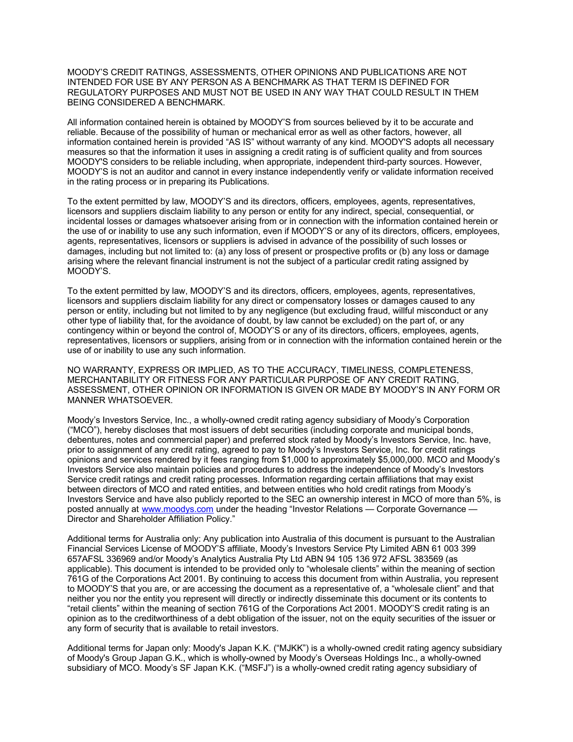MOODY'S CREDIT RATINGS, ASSESSMENTS, OTHER OPINIONS AND PUBLICATIONS ARE NOT INTENDED FOR USE BY ANY PERSON AS A BENCHMARK AS THAT TERM IS DEFINED FOR REGULATORY PURPOSES AND MUST NOT BE USED IN ANY WAY THAT COULD RESULT IN THEM BEING CONSIDERED A BENCHMARK.

All information contained herein is obtained by MOODY'S from sources believed by it to be accurate and reliable. Because of the possibility of human or mechanical error as well as other factors, however, all information contained herein is provided "AS IS" without warranty of any kind. MOODY'S adopts all necessary measures so that the information it uses in assigning a credit rating is of sufficient quality and from sources MOODY'S considers to be reliable including, when appropriate, independent third-party sources. However, MOODY'S is not an auditor and cannot in every instance independently verify or validate information received in the rating process or in preparing its Publications.

To the extent permitted by law, MOODY'S and its directors, officers, employees, agents, representatives, licensors and suppliers disclaim liability to any person or entity for any indirect, special, consequential, or incidental losses or damages whatsoever arising from or in connection with the information contained herein or the use of or inability to use any such information, even if MOODY'S or any of its directors, officers, employees, agents, representatives, licensors or suppliers is advised in advance of the possibility of such losses or damages, including but not limited to: (a) any loss of present or prospective profits or (b) any loss or damage arising where the relevant financial instrument is not the subject of a particular credit rating assigned by MOODY'S.

To the extent permitted by law, MOODY'S and its directors, officers, employees, agents, representatives, licensors and suppliers disclaim liability for any direct or compensatory losses or damages caused to any person or entity, including but not limited to by any negligence (but excluding fraud, willful misconduct or any other type of liability that, for the avoidance of doubt, by law cannot be excluded) on the part of, or any contingency within or beyond the control of, MOODY'S or any of its directors, officers, employees, agents, representatives, licensors or suppliers, arising from or in connection with the information contained herein or the use of or inability to use any such information.

NO WARRANTY, EXPRESS OR IMPLIED, AS TO THE ACCURACY, TIMELINESS, COMPLETENESS, MERCHANTABILITY OR FITNESS FOR ANY PARTICULAR PURPOSE OF ANY CREDIT RATING, ASSESSMENT, OTHER OPINION OR INFORMATION IS GIVEN OR MADE BY MOODY'S IN ANY FORM OR MANNER WHATSOEVER.

Moody's Investors Service, Inc., a wholly-owned credit rating agency subsidiary of Moody's Corporation ("MCO"), hereby discloses that most issuers of debt securities (including corporate and municipal bonds, debentures, notes and commercial paper) and preferred stock rated by Moody's Investors Service, Inc. have, prior to assignment of any credit rating, agreed to pay to Moody's Investors Service, Inc. for credit ratings opinions and services rendered by it fees ranging from \$1,000 to approximately \$5,000,000. MCO and Moody's Investors Service also maintain policies and procedures to address the independence of Moody's Investors Service credit ratings and credit rating processes. Information regarding certain affiliations that may exist between directors of MCO and rated entities, and between entities who hold credit ratings from Moody's Investors Service and have also publicly reported to the SEC an ownership interest in MCO of more than 5%, is posted annually at [www.moodys.com](http://www.moodys.com/) under the heading "Investor Relations — Corporate Governance — Director and Shareholder Affiliation Policy."

Additional terms for Australia only: Any publication into Australia of this document is pursuant to the Australian Financial Services License of MOODY'S affiliate, Moody's Investors Service Pty Limited ABN 61 003 399 657AFSL 336969 and/or Moody's Analytics Australia Pty Ltd ABN 94 105 136 972 AFSL 383569 (as applicable). This document is intended to be provided only to "wholesale clients" within the meaning of section 761G of the Corporations Act 2001. By continuing to access this document from within Australia, you represent to MOODY'S that you are, or are accessing the document as a representative of, a "wholesale client" and that neither you nor the entity you represent will directly or indirectly disseminate this document or its contents to "retail clients" within the meaning of section 761G of the Corporations Act 2001. MOODY'S credit rating is an opinion as to the creditworthiness of a debt obligation of the issuer, not on the equity securities of the issuer or any form of security that is available to retail investors.

Additional terms for Japan only: Moody's Japan K.K. ("MJKK") is a wholly-owned credit rating agency subsidiary of Moody's Group Japan G.K., which is wholly-owned by Moody's Overseas Holdings Inc., a wholly-owned subsidiary of MCO. Moody's SF Japan K.K. ("MSFJ") is a wholly-owned credit rating agency subsidiary of